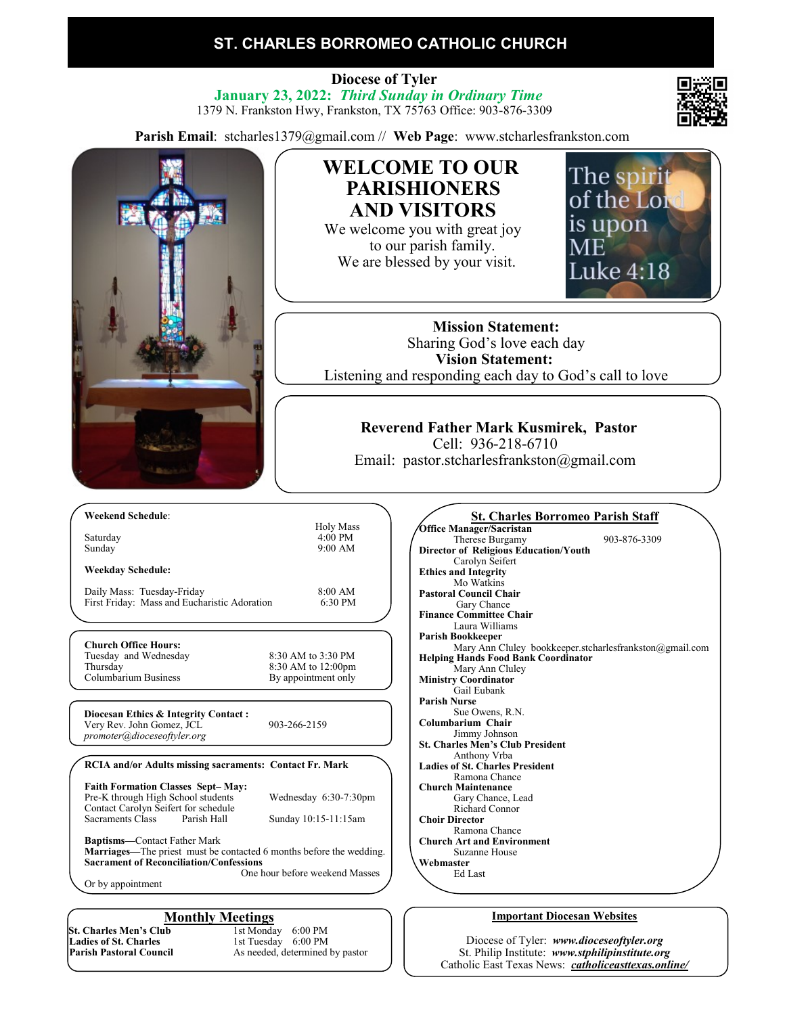# **ST. CHARLES BORROMEO CATHOLIC CHURCH**

 **Diocese of Tyler January 23, 2022:** *Third Sunday in Ordinary Time* 1379 N. Frankston Hwy, Frankston, TX 75763 Office: 903-876-3309

**Parish Email**: stcharles1379@gmail.com // **Web Page**: www.stcharlesfrankston.com



Diocese of Tyler: *www.dioceseoftyler.org* St. Philip Institute: *www.stphilipinstitute.org* Catholic East Texas News: *catholiceasttexas.online/*

**St. Charles Men's Club**<br>Ladies of St. Charles **Ladies of St. Charles** 1st Tuesday 6:00 PM<br> **Parish Pastoral Council** 4s needed, determined

As needed, determined by pastor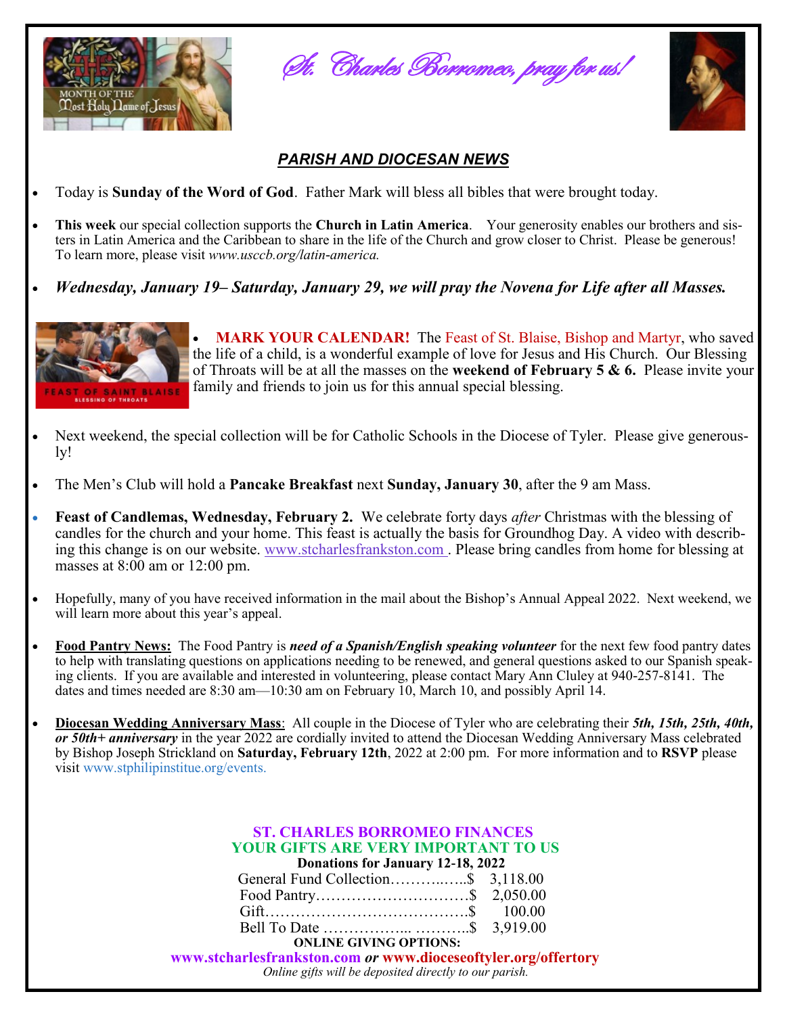

St. Charles Borromeo, pray for us!



# *PARISH AND DIOCESAN NEWS*

- Today is **Sunday of the Word of God**. Father Mark will bless all bibles that were brought today.
- **This week** our special collection supports the **Church in Latin America**. Your generosity enables our brothers and sisters in Latin America and the Caribbean to share in the life of the Church and grow closer to Christ. Please be generous! To learn more, please visit *www.usccb.org/latin-america.*
- *Wednesday, January 19– Saturday, January 29, we will pray the Novena for Life after all Masses.*



• **MARK YOUR CALENDAR!** The Feast of St. Blaise, Bishop and Martyr, who saved the life of a child, is a wonderful example of love for Jesus and His Church. Our Blessing of Throats will be at all the masses on the **weekend of February 5 & 6.** Please invite your family and friends to join us for this annual special blessing.

- Next weekend, the special collection will be for Catholic Schools in the Diocese of Tyler. Please give generously!
- The Men's Club will hold a **Pancake Breakfast** next **Sunday, January 30**, after the 9 am Mass.
- **Feast of Candlemas, Wednesday, February 2.** We celebrate forty days *after* Christmas with the blessing of candles for the church and your home. This feast is actually the basis for Groundhog Day. A video with describing this change is on our website. [www.stcharlesfrankston.com](http://www.stcharlesfrankston.com/) . Please bring candles from home for blessing at masses at 8:00 am or 12:00 pm.
- Hopefully, many of you have received information in the mail about the Bishop's Annual Appeal 2022. Next weekend, we will learn more about this year's appeal.
- **Food Pantry News:** The Food Pantry is *need of a Spanish/English speaking volunteer* for the next few food pantry dates to help with translating questions on applications needing to be renewed, and general questions asked to our Spanish speaking clients. If you are available and interested in volunteering, please contact Mary Ann Cluley at 940-257-8141. The dates and times needed are 8:30 am—10:30 am on February 10, March 10, and possibly April 14.
- **Diocesan Wedding Anniversary Mass**: All couple in the Diocese of Tyler who are celebrating their *5th, 15th, 25th, 40th, or 50th+ anniversary* in the year 2022 are cordially invited to attend the Diocesan Wedding Anniversary Mass celebrated by Bishop Joseph Strickland on **Saturday, February 12th**, 2022 at 2:00 pm. For more information and to **RSVP** please visit www.stphilipinstitue.org/events.

| <b>ST. CHARLES BORROMEO FINANCES</b><br><b>YOUR GIFTS ARE VERY IMPORTANT TO US</b><br>Donations for January 12-18, 2022  |  |
|--------------------------------------------------------------------------------------------------------------------------|--|
| General Fund Collection\$ 3,118.00                                                                                       |  |
|                                                                                                                          |  |
|                                                                                                                          |  |
|                                                                                                                          |  |
| <b>ONLINE GIVING OPTIONS:</b>                                                                                            |  |
| www.stcharlesfrankston.com or www.dioceseoftyler.org/offertory<br>Online gifts will be deposited directly to our parish. |  |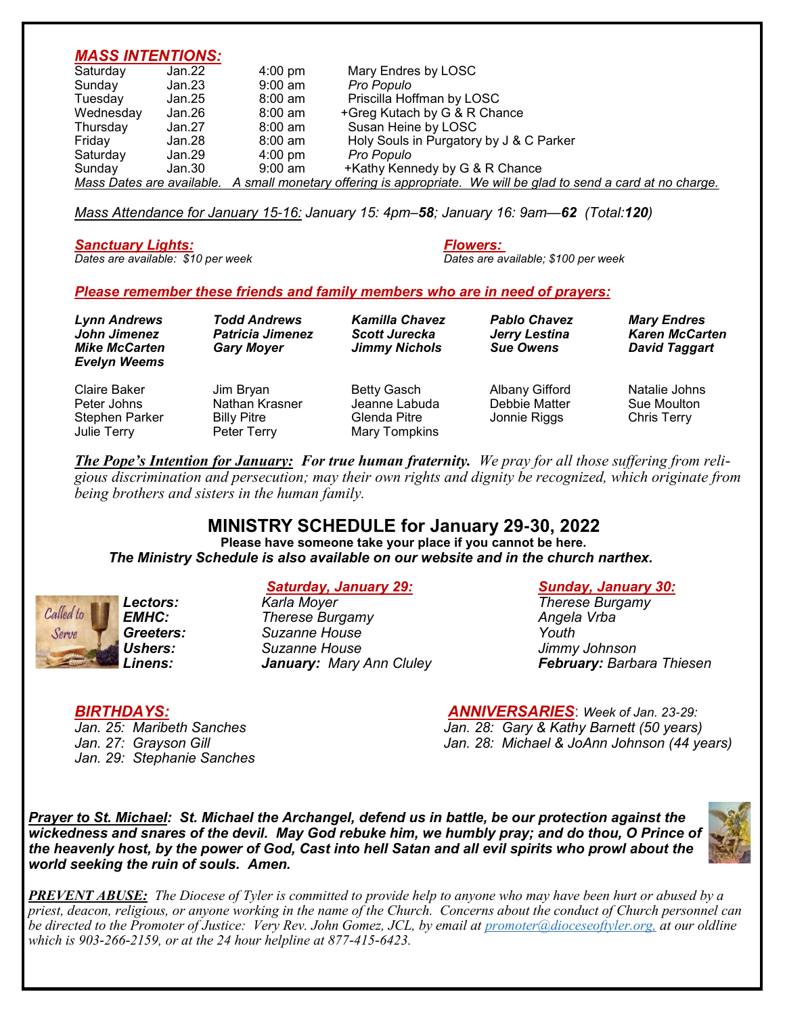### *MASS INTENTIONS:*

| Saturday                  | Jan.22 | $4:00 \text{ pm}$ | Mary Endres by LOSC                                                                    |
|---------------------------|--------|-------------------|----------------------------------------------------------------------------------------|
| Sunday                    | Jan.23 | $9:00$ am         | Pro Populo                                                                             |
| Tuesday                   | Jan.25 | $8:00 \text{ am}$ | Priscilla Hoffman by LOSC                                                              |
| Wednesday                 | Jan.26 | $8:00 \text{ am}$ | +Greg Kutach by G & R Chance                                                           |
| Thursday                  | Jan.27 | $8:00 \text{ am}$ | Susan Heine by LOSC                                                                    |
| Friday                    | Jan.28 | $8:00 \text{ am}$ | Holy Souls in Purgatory by J & C Parker                                                |
| Saturday                  | Jan.29 | $4:00 \text{ pm}$ | Pro Populo                                                                             |
| Sunday                    | Jan.30 | 9:00 am           | +Kathy Kennedy by G & R Chance                                                         |
| Mass Dates are available. |        |                   | A small monetary offering is appropriate. We will be glad to send a card at no charge. |

*Mass Attendance for January 15-16: January 15: 4pm–58; January 16: 9am—62 (Total:120)*

# *Sanctuary Lights: Flowers:*

*Dates are available: \$10 per week Dates are available; \$100 per week*

### *Please remember these friends and family members who are in need of prayers:*

Julie Terry Peter Terry Mary Tompkins

| Lynn Andrews<br>John Jimenez<br><b>Mike McCarten</b><br><b>Evelyn Weems</b> | <b>Todd Andrews</b><br><b>Patricia Jimenez</b><br><b>Gary Moyer</b> | <b>Kamilla Chavez</b><br><b>Scott Jurecka</b><br><b>Jimmy Nichols</b> | <b>Pablo Chavez</b><br>Jerry Lestina<br><b>Sue Owens</b> | <b>Mary Endres</b><br><b>Karen McCarten</b><br>David Taggart |
|-----------------------------------------------------------------------------|---------------------------------------------------------------------|-----------------------------------------------------------------------|----------------------------------------------------------|--------------------------------------------------------------|
| Claire Baker                                                                | Jim Bryan                                                           | Betty Gasch                                                           | Albany Gifford                                           | Natalie Johns                                                |
| Peter Johns                                                                 | Nathan Krasner                                                      | Jeanne Labuda                                                         | Debbie Matter                                            | Sue Moulton                                                  |
| <b>Stephen Parker</b>                                                       | <b>Billy Pitre</b>                                                  | Glenda Pitre                                                          | Jonnie Riggs                                             | <b>Chris Terry</b>                                           |

*The Pope's Intention for January: For true human fraternity. We pray for all those suffering from religious discrimination and persecution; may their own rights and dignity be recognized, which originate from being brothers and sisters in the human family.*

## **MINISTRY SCHEDULE for January 29-30, 2022**

**Please have someone take your place if you cannot be here.**  *The Ministry Schedule is also available on our website and in the church narthex.*



*EMHC: Therese Burgamy Angela Vrba**Angela Vrba**Angela Vrba Greeters: Suzanne House Youth Ushers: Suzanne House Jimmy Johnson*

### *Saturday, January 29: Sunday, January 30:*

*Lectors: Karla Moyer Therese Burgamy Linens: January: Mary Ann Cluley February: Barbara Thiesen*

*Jan. 29: Stephanie Sanches*

*BIRTHDAYS: ANNIVERSARIES*: *Week of Jan. 23-29: Jan. 28: Gary & Kathy Barnett (50 years) Jan. 27: Grayson Gill Jan. 28: Michael & JoAnn Johnson (44 years)*

*Prayer to St. Michael: St. Michael the Archangel, defend us in battle, be our protection against the wickedness and snares of the devil. May God rebuke him, we humbly pray; and do thou, O Prince of the heavenly host, by the power of God, Cast into hell Satan and all evil spirits who prowl about the world seeking the ruin of souls. Amen.*



*PREVENT ABUSE: The Diocese of Tyler is committed to provide help to anyone who may have been hurt or abused by a priest, deacon, religious, or anyone working in the name of the Church. Concerns about the conduct of Church personnel can be directed to the Promoter of Justice: Very Rev. John Gomez, JCL, by email at promoter@dioceseoftyler.org, at our oldline which is 903-266-2159, or at the 24 hour helpline at 877-415-6423.*